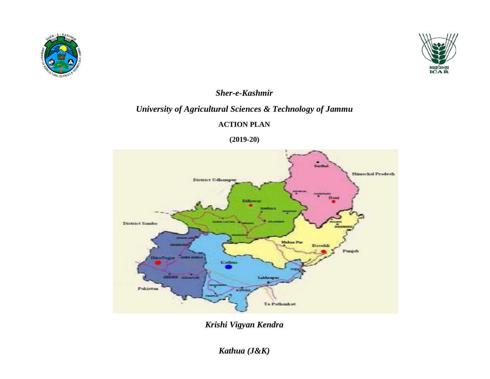



### *Sher-e-Kashmir*

## *University of Agricultural Sciences & Technology of Jammu*

#### **ACTION PLAN**

**(2019-20)**



*Krishi Vigyan Kendra*

*Kathua (J&K)*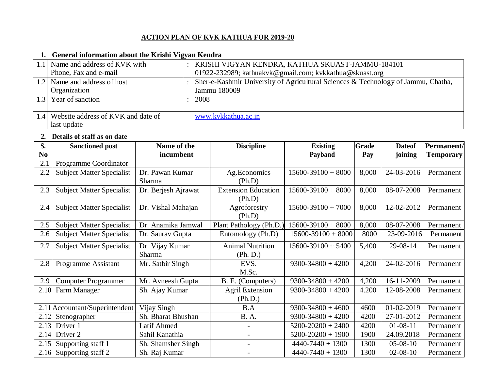#### **ACTION PLAN OF KVK KATHUA FOR 2019-20**

#### **1. General information about the Krishi Vigyan Kendra**

| 1.1 Name and address of KVK with       | KRISHI VIGYAN KENDRA, KATHUA SKUAST-JAMMU-184101                                  |
|----------------------------------------|-----------------------------------------------------------------------------------|
| Phone, Fax and e-mail                  | 01922-232989; kathuakvk@gmail.com; kvkkathua@skuast.org                           |
| 1.2 Name and address of host           | Sher-e-Kashmir University of Agricultural Sciences & Technology of Jammu, Chatha, |
| Organization                           | Jammu 180009                                                                      |
| 1.3 Year of sanction                   | 2008                                                                              |
|                                        |                                                                                   |
| 1.4 Website address of KVK and date of | www.kvkkathua.ac.in                                                               |
| last update                            |                                                                                   |

#### **2. Details of staff as on date**

| S.             | <b>Sanctioned post</b>           | Name of the         | <b>Discipline</b>                    | <b>Existing</b>        | Grade | <b>Date</b> of | Permanent/       |
|----------------|----------------------------------|---------------------|--------------------------------------|------------------------|-------|----------------|------------------|
| N <sub>0</sub> |                                  | incumbent           |                                      | Payband                | Pay   | joining        | <b>Temporary</b> |
| 2.1            | Programme Coordinator            |                     |                                      |                        |       |                |                  |
| 2.2            | <b>Subject Matter Specialist</b> | Dr. Pawan Kumar     | Ag. Economics                        | $15600 - 39100 + 8000$ | 8,000 | 24-03-2016     | Permanent        |
|                |                                  | Sharma              | (Ph.D)                               |                        |       |                |                  |
| 2.3            | <b>Subject Matter Specialist</b> | Dr. Berjesh Ajrawat | <b>Extension Education</b><br>(Ph.D) | $15600 - 39100 + 8000$ | 8,000 | 08-07-2008     | Permanent        |
| 2.4            | <b>Subject Matter Specialist</b> | Dr. Vishal Mahajan  | Agroforestry<br>(Ph.D)               | $15600 - 39100 + 7000$ | 8,000 | 12-02-2012     | Permanent        |
| 2.5            | <b>Subject Matter Specialist</b> | Dr. Anamika Jamwal  | Plant Pathology (Ph.D.)              | $15600 - 39100 + 8000$ | 8,000 | 08-07-2008     | Permanent        |
| 2.6            | <b>Subject Matter Specialist</b> | Dr. Saurav Gupta    | Entomology (Ph.D)                    | $15600 - 39100 + 8000$ | 8000  | 23-09-2016     | Permanent        |
| 2.7            | <b>Subject Matter Specialist</b> | Dr. Vijay Kumar     | <b>Animal Nutrition</b>              | $15600 - 39100 + 5400$ | 5,400 | 29-08-14       | Permanent        |
|                |                                  | Sharma              | (Ph. D.)                             |                        |       |                |                  |
| 2.8            | Programme Assistant              | Mr. Satbir Singh    | EVS.                                 | $9300 - 34800 + 4200$  | 4,200 | 24-02-2016     | Permanent        |
|                |                                  |                     | M.Sc.                                |                        |       |                |                  |
| 2.9            | <b>Computer Programmer</b>       | Mr. Avneesh Gupta   | B. E. (Computers)                    | $9300 - 34800 + 4200$  | 4,200 | 16-11-2009     | Permanent        |
| 2.10           | Farm Manager                     | Sh. Ajay Kumar      | <b>Agril Extension</b>               | $9300 - 34800 + 4200$  | 4.200 | 12-08-2008     | Permanent        |
|                |                                  |                     | (Ph.D.)                              |                        |       |                |                  |
|                | 2.11 Accountant/Superintendent   | Vijay Singh         | B.A                                  | $9300 - 34800 + 4600$  | 4600  | 01-02-2019     | Permanent        |
| 2.12           | Stenographer                     | Sh. Bharat Bhushan  | <b>B.</b> A.                         | $9300 - 34800 + 4200$  | 4200  | 27-01-2012     | Permanent        |
| 2.13           | Driver 1                         | Latif Ahmed         |                                      | $5200 - 20200 + 2400$  | 4200  | $01 - 08 - 11$ | Permanent        |
| 2.14           | Driver 2                         | Sahil Kanathia      | $\overline{\phantom{0}}$             | $5200 - 20200 + 1900$  | 1900  | 24.09.2018     | Permanent        |
| 2.15           | Supporting staff 1               | Sh. Shamsher Singh  |                                      | $4440 - 7440 + 1300$   | 1300  | $05-08-10$     | Permanent        |
| 2.16           | Supporting staff 2               | Sh. Raj Kumar       |                                      | $4440 - 7440 + 1300$   | 1300  | $02 - 08 - 10$ | Permanent        |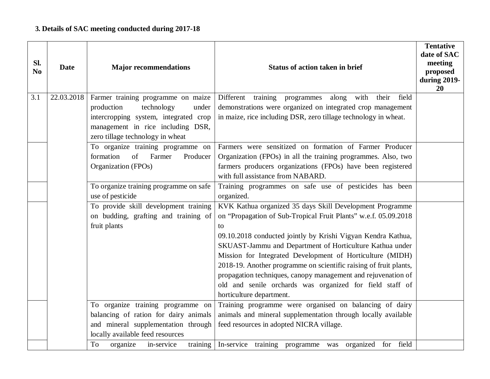| Sl.<br>N <sub>o</sub> | <b>Date</b> | <b>Major recommendations</b>                                          | <b>Status of action taken in brief</b>                                                                                             | <b>Tentative</b><br>date of SAC<br>meeting<br>proposed<br>during 2019-<br>20 |
|-----------------------|-------------|-----------------------------------------------------------------------|------------------------------------------------------------------------------------------------------------------------------------|------------------------------------------------------------------------------|
| 3.1                   | 22.03.2018  | Farmer training programme on maize                                    | Different training<br>with<br>programmes<br>along<br>their<br>field                                                                |                                                                              |
|                       |             | technology<br>production<br>under                                     | demonstrations were organized on integrated crop management                                                                        |                                                                              |
|                       |             | intercropping system, integrated crop                                 | in maize, rice including DSR, zero tillage technology in wheat.                                                                    |                                                                              |
|                       |             | management in rice including DSR,<br>zero tillage technology in wheat |                                                                                                                                    |                                                                              |
|                       |             | To organize training programme on                                     | Farmers were sensitized on formation of Farmer Producer                                                                            |                                                                              |
|                       |             | formation<br>of<br>Farmer<br>Producer                                 | Organization (FPOs) in all the training programmes. Also, two                                                                      |                                                                              |
|                       |             | Organization (FPOs)                                                   | farmers producers organizations (FPOs) have been registered                                                                        |                                                                              |
|                       |             |                                                                       | with full assistance from NABARD.                                                                                                  |                                                                              |
|                       |             | To organize training programme on safe                                | Training programmes on safe use of pesticides has been                                                                             |                                                                              |
|                       |             | use of pesticide                                                      | organized.                                                                                                                         |                                                                              |
|                       |             | To provide skill development training                                 | KVK Kathua organized 35 days Skill Development Programme                                                                           |                                                                              |
|                       |             | on budding, grafting and training of                                  | on "Propagation of Sub-Tropical Fruit Plants" w.e.f. 05.09.2018                                                                    |                                                                              |
|                       |             | fruit plants                                                          | to                                                                                                                                 |                                                                              |
|                       |             |                                                                       | 09.10.2018 conducted jointly by Krishi Vigyan Kendra Kathua,                                                                       |                                                                              |
|                       |             |                                                                       | SKUAST-Jammu and Department of Horticulture Kathua under                                                                           |                                                                              |
|                       |             |                                                                       | Mission for Integrated Development of Horticulture (MIDH)                                                                          |                                                                              |
|                       |             |                                                                       | 2018-19. Another programme on scientific raising of fruit plants,<br>propagation techniques, canopy management and rejuvenation of |                                                                              |
|                       |             |                                                                       | old and senile orchards was organized for field staff of                                                                           |                                                                              |
|                       |             |                                                                       | horticulture department.                                                                                                           |                                                                              |
|                       |             | To organize training programme on                                     | Training programme were organised on balancing of dairy                                                                            |                                                                              |
|                       |             | balancing of ration for dairy animals                                 | animals and mineral supplementation through locally available                                                                      |                                                                              |
|                       |             | and mineral supplementation through                                   | feed resources in adopted NICRA village.                                                                                           |                                                                              |
|                       |             | locally available feed resources                                      |                                                                                                                                    |                                                                              |
|                       |             | organize<br>in-service<br>training<br>To                              | In-service training programme was organized for field                                                                              |                                                                              |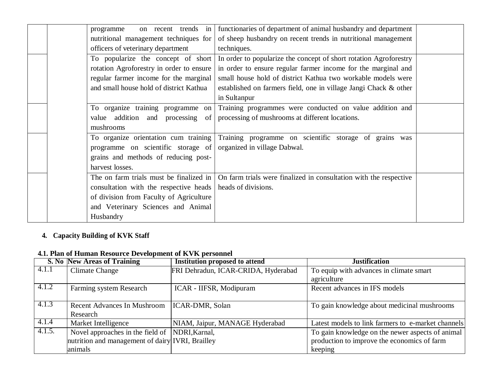| on recent trends in<br>programme         | functionaries of department of animal husbandry and department    |  |
|------------------------------------------|-------------------------------------------------------------------|--|
| nutritional management techniques for    | of sheep husbandry on recent trends in nutritional management     |  |
| officers of veterinary department        | techniques.                                                       |  |
| To popularize the concept of short       | In order to popularize the concept of short rotation Agroforestry |  |
| rotation Agroforestry in order to ensure | in order to ensure regular farmer income for the marginal and     |  |
| regular farmer income for the marginal   | small house hold of district Kathua two workable models were      |  |
| and small house hold of district Kathua  | established on farmers field, one in village Jangi Chack & other  |  |
|                                          | in Sultanpur                                                      |  |
| To organize training programme on        | Training programmes were conducted on value addition and          |  |
| value addition and processing of         | processing of mushrooms at different locations.                   |  |
| mushrooms                                |                                                                   |  |
| To organize orientation cum training     | Training programme on scientific storage of grains was            |  |
| programme on scientific storage of       | organized in village Dabwal.                                      |  |
| grains and methods of reducing post-     |                                                                   |  |
| harvest losses.                          |                                                                   |  |
| The on farm trials must be finalized in  | On farm trials were finalized in consultation with the respective |  |
| consultation with the respective heads   | heads of divisions.                                               |  |
| of division from Faculty of Agriculture  |                                                                   |  |
| and Veterinary Sciences and Animal       |                                                                   |  |
| Husbandry                                |                                                                   |  |

## **4. Capacity Building of KVK Staff**

## **4.1. Plan of Human Resource Development of KVK personnel**

|        | S. No New Areas of Training                      | <b>Institution proposed to attend</b> | <b>Justification</b>                               |  |  |
|--------|--------------------------------------------------|---------------------------------------|----------------------------------------------------|--|--|
| 4.1.1  | <b>Climate Change</b>                            | FRI Dehradun, ICAR-CRIDA, Hyderabad   | To equip with advances in climate smart            |  |  |
|        |                                                  |                                       | agriculture                                        |  |  |
| 4.1.2  | Farming system Research                          | ICAR - IIFSR, Modipuram               | Recent advances in IFS models                      |  |  |
|        |                                                  |                                       |                                                    |  |  |
| 4.1.3  | <b>Recent Advances In Mushroom</b>               | ICAR-DMR, Solan                       | To gain knowledge about medicinal mushrooms        |  |  |
|        | Research                                         |                                       |                                                    |  |  |
| 4.1.4  | Market Intelligence                              | NIAM, Jaipur, MANAGE Hyderabad        | Latest models to link farmers to e-market channels |  |  |
| 4.1.5. | Novel approaches in the field of NDRI, Karnal,   |                                       | To gain knowledge on the newer aspects of animal   |  |  |
|        | nutrition and management of dairy IVRI, Brailley |                                       | production to improve the economics of farm        |  |  |
|        | animals                                          |                                       | keeping                                            |  |  |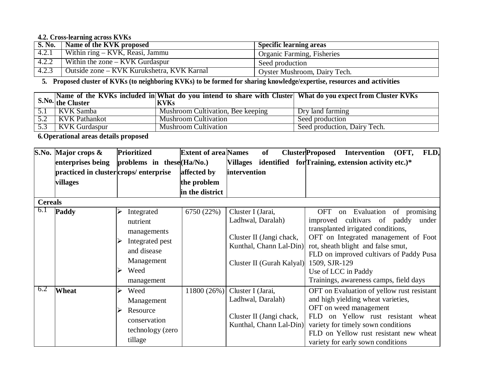#### **4.2. Cross-learning across KVKs**

| <b>S. No.</b> | Name of the KVK proposed                   | <b>Specific learning areas</b>    |
|---------------|--------------------------------------------|-----------------------------------|
| 4.2.1         | Within $ring-KVK$ , Reasi, Jammu           | <b>Organic Farming, Fisheries</b> |
| 4.2.2         | Within the zone $-$ KVK Gurdaspur          | Seed production                   |
| 4.2.3         | Outside zone – KVK Kurukshetra, KVK Karnal | Oyster Mushroom, Dairy Tech.      |

5. Proposed cluster of KVKs (to neighboring KVKs) to be formed for sharing knowledge/expertise, resources and activities

|     | $\left  \right $ S.No. the Cluster | Name of the KVKs included in What do you intend to share with Cluster What do you expect from Cluster KVKs<br><b>KVKs</b> |                              |
|-----|------------------------------------|---------------------------------------------------------------------------------------------------------------------------|------------------------------|
|     | $5.1$   KVK Samba                  | Mushroom Cultivation, Bee keeping                                                                                         | Dry land farming             |
|     | 5.2 KVK Pathankot                  | Mushroom Cultivation                                                                                                      | Seed production              |
| 5.3 | <b>KVK</b> Gurdaspur               | <b>Mushroom Cultivation</b>                                                                                               | Seed production, Dairy Tech. |

**6.Operational areas details proposed**

|                | S.No. Major crops &                   | <b>Prioritized</b>                                                                                               | <b>Extent of area Names</b> | of                                                                                                                         | <b>ClusterProposed</b><br>FLD,<br><b>Intervention</b><br>(OFT,                                                                                                                                                                                                                                                                |
|----------------|---------------------------------------|------------------------------------------------------------------------------------------------------------------|-----------------------------|----------------------------------------------------------------------------------------------------------------------------|-------------------------------------------------------------------------------------------------------------------------------------------------------------------------------------------------------------------------------------------------------------------------------------------------------------------------------|
|                | enterprises being                     | problems in these (Ha/No.)                                                                                       |                             |                                                                                                                            | Villages identified for Training, extension activity etc.)*                                                                                                                                                                                                                                                                   |
|                | practiced in cluster crops/enterprise |                                                                                                                  | affected by                 | intervention                                                                                                               |                                                                                                                                                                                                                                                                                                                               |
|                | villages                              |                                                                                                                  | the problem                 |                                                                                                                            |                                                                                                                                                                                                                                                                                                                               |
|                |                                       |                                                                                                                  | in the district             |                                                                                                                            |                                                                                                                                                                                                                                                                                                                               |
| <b>Cereals</b> |                                       |                                                                                                                  |                             |                                                                                                                            |                                                                                                                                                                                                                                                                                                                               |
| 6.1            | Paddy                                 | Integrated<br>nutrient<br>managements<br>Integrated pest<br>and disease<br>Management<br>Weed<br>⋗<br>management | 6750 (22%)                  | Cluster I (Jarai,<br>Ladhwal, Daralah)<br>Cluster II (Jangi chack,<br>Kunthal, Chann Lal-Din)<br>Cluster II (Gurah Kalyal) | of promising<br>OFT<br>on Evaluation<br>improved cultivars of paddy<br>under<br>transplanted irrigated conditions,<br>OFT on Integrated management of Foot<br>rot, sheath blight and false smut,<br>FLD on improved cultivars of Paddy Pusa<br>1509, SJR-129<br>Use of LCC in Paddy<br>Trainings, awareness camps, field days |
| 6.2            | Wheat                                 | Weed<br>⋗<br>Management<br>Resource<br>conservation<br>technology (zero<br>tillage                               | 11800 (26%)                 | Cluster I (Jarai,<br>Ladhwal, Daralah)<br>Cluster II (Jangi chack,<br>Kunthal, Chann Lal-Din)                              | OFT on Evaluation of yellow rust resistant<br>and high yielding wheat varieties,<br>OFT on weed management<br>FLD on Yellow rust resistant wheat<br>variety for timely sown conditions<br>FLD on Yellow rust resistant new wheat<br>variety for early sown conditions                                                         |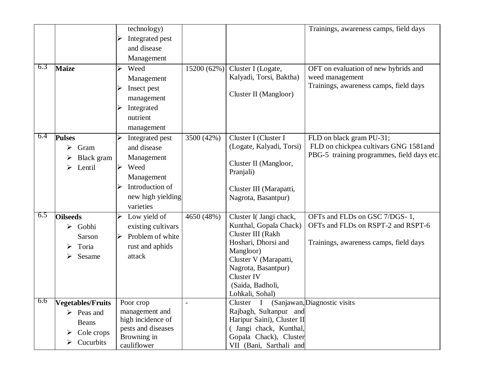| 6.3 | <b>Maize</b>                                                                                 | technology)<br>Integrated pest<br>and disease<br>Management<br>15200 (62%)<br>Weed<br>➤<br>Management<br>Insect pest<br>➤<br>management<br>Integrated<br>nutrient<br>management | Trainings, awareness camps, field days<br>Cluster I (Logate,<br>OFT on evaluation of new hybrids and<br>Kalyadi, Torsi, Baktha)<br>weed management<br>Trainings, awareness camps, field days<br>Cluster II (Mangloor)                                                                                                                  |
|-----|----------------------------------------------------------------------------------------------|---------------------------------------------------------------------------------------------------------------------------------------------------------------------------------|----------------------------------------------------------------------------------------------------------------------------------------------------------------------------------------------------------------------------------------------------------------------------------------------------------------------------------------|
| 6.4 | <b>Pulses</b><br>Gram<br>➤<br>Black gram<br>Lentil<br>➤                                      | 3500 (42%)<br>➤<br>Integrated pest<br>and disease<br>Management<br>Weed<br>$\blacktriangleright$<br>Management<br>Introduction of<br>new high yielding<br>varieties             | Cluster I (Cluster I<br>FLD on black gram PU-31;<br>FLD on chickpea cultivars GNG 1581and<br>(Logate, Kalyadi, Torsi)<br>PBG-5 training programmes, field days etc.<br>Cluster II (Mangloor,<br>Pranjali)<br>Cluster III (Marapatti,<br>Nagrota, Basantpur)                                                                            |
| 6.5 | <b>Oilseeds</b><br>Gobhi<br>➤<br>Sarson<br>Toria<br>Sesame<br>➤                              | 4650 (48%)<br>Low yield of<br>➤<br>existing cultivars<br>Problem of white<br>$\blacktriangleright$<br>rust and aphids<br>attack                                                 | Cluster I(Jangi chack,<br>OFTs and FLDs on GSC 7/DGS-1,<br>OFTs and FLDs on RSPT-2 and RSPT-6<br>Kunthal, Gopala Chack)<br>Cluster III (Rakh<br>Hoshari, Dhorsi and<br>Trainings, awareness camps, field days<br>Mangloor)<br>Cluster V (Marapatti,<br>Nagrota, Basantpur)<br><b>Cluster IV</b><br>(Saida, Badholi,<br>Lohkali, Sohal) |
| 6.6 | Vegetables/Fruits<br>$\triangleright$ Peas and<br>Beans<br>Cole crops<br>➤<br>Cucurbits<br>➤ | Poor crop<br>$\qquad \qquad \blacksquare$<br>management and<br>high incidence of<br>pests and diseases<br>Browning in<br>cauliflower                                            | Cluster I (Sanjawan, Diagnostic visits<br>Rajbagh, Sultanpur and<br>Haripur Saini), Cluster II<br>( Jangi chack, Kunthal,<br>Gopala Chack), Cluster<br>VII (Bani, Sarthali and                                                                                                                                                         |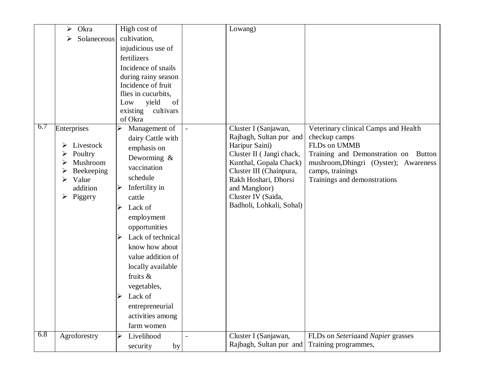|     | Okra<br>➤    | High cost of                               | Lowang)                                   |                                       |
|-----|--------------|--------------------------------------------|-------------------------------------------|---------------------------------------|
|     | Solaneceous  | cultivation,                               |                                           |                                       |
|     |              | injudicious use of                         |                                           |                                       |
|     |              | fertilizers                                |                                           |                                       |
|     |              | Incidence of snails<br>during rainy season |                                           |                                       |
|     |              | Incidence of fruit                         |                                           |                                       |
|     |              | flies in cucurbits.                        |                                           |                                       |
|     |              | yield<br>Low<br>of                         |                                           |                                       |
|     |              | existing<br>cultivars                      |                                           |                                       |
|     |              | of Okra                                    |                                           |                                       |
| 6.7 | Enterprises  | Management of                              | Cluster I (Sanjawan,<br>$\Box$            | Veterinary clinical Camps and Health  |
|     | Livestock    | dairy Cattle with                          | Rajbagh, Sultan pur and<br>Haripur Saini) | checkup camps<br>FLDs on UMMB         |
|     | Poultry      | emphasis on                                | Cluster II (Jangi chack,                  | Training and Demonstration on Button  |
|     | Mushroom     | Deworming &                                | Kunthal, Gopala Chack)                    | mushroom, Dhingri (Oyster); Awareness |
|     | Beekeeping   | vaccination                                | Cluster III (Chainpura,                   | camps, trainings                      |
|     | Value<br>➤   | schedule                                   | Rakh Hoshari, Dhorsi                      | Trainings and demonstrations          |
|     | addition     | Infertility in                             | and Mangloor)                             |                                       |
|     | Piggery<br>➤ | cattle                                     | Cluster IV (Saida,                        |                                       |
|     |              | Lack of                                    | Badholi, Lohkali, Sohal)                  |                                       |
|     |              | employment                                 |                                           |                                       |
|     |              | opportunities                              |                                           |                                       |
|     |              | Lack of technical                          |                                           |                                       |
|     |              | know how about                             |                                           |                                       |
|     |              | value addition of                          |                                           |                                       |
|     |              | locally available                          |                                           |                                       |
|     |              | fruits &                                   |                                           |                                       |
|     |              | vegetables,                                |                                           |                                       |
|     |              | Lack of                                    |                                           |                                       |
|     |              | entrepreneurial                            |                                           |                                       |
|     |              | activities among                           |                                           |                                       |
|     |              | farm women                                 |                                           |                                       |
| 6.8 | Agroforestry | Livelihood<br>⋗                            | Cluster I (Sanjawan,                      | FLDs on Seteriaand Napier grasses     |
|     |              | security<br>by                             | Rajbagh, Sultan pur and                   | Training programmes,                  |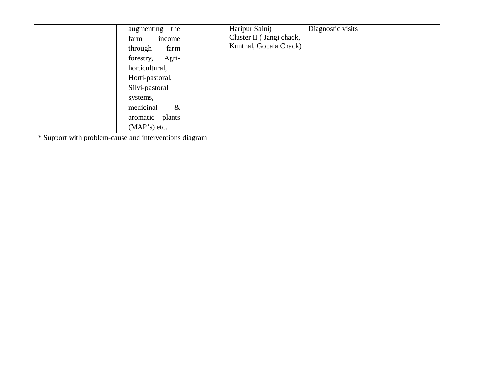| augmenting      | the    | Haripur Saini)           | Diagnostic visits |
|-----------------|--------|--------------------------|-------------------|
| farm            | income | Cluster II (Jangi chack, |                   |
| through         | farm   | Kunthal, Gopala Chack)   |                   |
| forestry,       | Agri-  |                          |                   |
| horticultural,  |        |                          |                   |
| Horti-pastoral, |        |                          |                   |
| Silvi-pastoral  |        |                          |                   |
| systems,        |        |                          |                   |
| medicinal       | $\&$   |                          |                   |
| aromatic plants |        |                          |                   |
| $(MAP's)$ etc.  |        |                          |                   |

\* Support with problem-cause and interventions diagram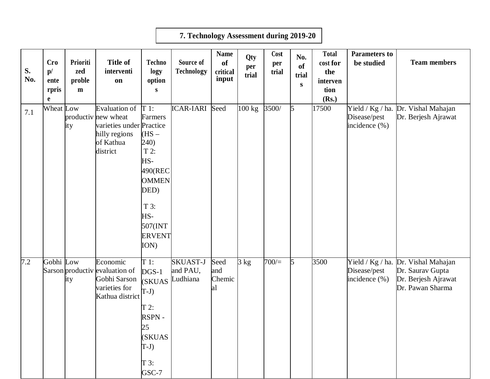|           |                                        |                                |                                                                                                                    |                                                                                                                                     | 7. Technology Assessment during 2019-20 |                                        |                     |                      |                                        |                                                              |                                    |                                                                                                    |
|-----------|----------------------------------------|--------------------------------|--------------------------------------------------------------------------------------------------------------------|-------------------------------------------------------------------------------------------------------------------------------------|-----------------------------------------|----------------------------------------|---------------------|----------------------|----------------------------------------|--------------------------------------------------------------|------------------------------------|----------------------------------------------------------------------------------------------------|
| S.<br>No. | <b>Cro</b><br>p/<br>ente<br>rpris<br>e | Prioriti<br>zed<br>proble<br>m | <b>Title of</b><br>interventi<br>on                                                                                | <b>Techno</b><br>logy<br>option<br>${\bf S}$                                                                                        | Source of<br>Technology                 | <b>Name</b><br>of<br>critical<br>input | Qty<br>per<br>trial | Cost<br>per<br>trial | No.<br><b>of</b><br>trial<br>${\bf S}$ | <b>Total</b><br>cost for<br>the<br>interven<br>tion<br>(Rs.) | <b>Parameters to</b><br>be studied | <b>Team members</b>                                                                                |
| 7.1       | Wheat Low                              | ity                            | Evaluation of $T_1$ :<br>productiv new wheat<br>varieties under Practice<br>hilly regions<br>of Kathua<br>district | Farmers<br>$(HS -$<br>(240)<br>$T 2$ :<br>HS-<br>490(REC<br><b>OMMEN</b><br>DED)<br>T 3:<br>HS-<br>507(INT<br><b>ERVENT</b><br>ION) | <b>ICAR-IARI</b>                        | Seed                                   | 100 kg              | 3500/                | 5                                      | 17500                                                        | Disease/pest<br>incidence $(\%)$   | Yield / Kg / ha. Dr. Vishal Mahajan<br>Dr. Berjesh Ajrawat                                         |
| 7.2       | Gobhi Low                              | ity                            | Economic<br>Sarson productiv evaluation of<br>Gobhi Sarson<br>varieties for<br>Kathua district                     | T 1:<br>$DGS-1$<br>(SKUAS<br>$T-J)$<br>$T2$ :<br>RSPN-<br>25<br>(SKUAS<br>$T-J$<br>$T3$ :<br>GSC-7                                  | <b>SKUAST-J</b><br>and PAU,<br>Ludhiana | Seed<br>and<br>Chemic<br>al            | 3 kg                | 700/                 | 5                                      | 3500                                                         | Disease/pest<br>incidence (%)      | Yield / Kg / ha. Dr. Vishal Mahajan<br>Dr. Saurav Gupta<br>Dr. Berjesh Ajrawat<br>Dr. Pawan Sharma |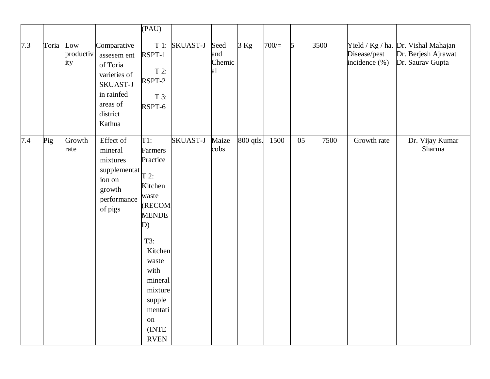|     |       |                         |                                                                                                                    | $(\overline{PAU})$                                                                                       |               |                             |           |      |            |      |                               |                                                                                |
|-----|-------|-------------------------|--------------------------------------------------------------------------------------------------------------------|----------------------------------------------------------------------------------------------------------|---------------|-----------------------------|-----------|------|------------|------|-------------------------------|--------------------------------------------------------------------------------|
| 7.3 | Toria | Low<br>productiv<br>ity | Comparative<br>assesem ent<br>of Toria<br>varieties of<br>SKUAST-J<br>in rainfed<br>areas of<br>district<br>Kathua | RSPT-1<br>$T 2$ :<br>RSPT-2<br>T 3:<br>RSPT-6                                                            | T 1: SKUAST-J | Seed<br>and<br>Chemic<br>al | $3$ Kg    | 700/ | $\sqrt{5}$ | 3500 | Disease/pest<br>incidence (%) | Yield / Kg / ha. Dr. Vishal Mahajan<br>Dr. Berjesh Ajrawat<br>Dr. Saurav Gupta |
| 7.4 | Pig   | Growth<br>rate          | Effect of<br>mineral<br>mixtures<br>supplementat<br>ion on<br>growth<br>performance<br>of pigs                     | $T1$ :<br>Farmers<br>Practice<br>$T$ 2:<br>Kitchen<br>waste<br><b>(RECOM</b><br><b>MENDE</b><br>D)       | SKUAST-J      | Maize<br>cobs               | 800 qtls. | 1500 | 05         | 7500 | Growth rate                   | Dr. Vijay Kumar<br>Sharma                                                      |
|     |       |                         |                                                                                                                    | T3:<br>Kitchen<br>waste<br>with<br>mineral<br>mixture<br>supple<br>mentati<br>on<br>(INTE<br><b>RVEN</b> |               |                             |           |      |            |      |                               |                                                                                |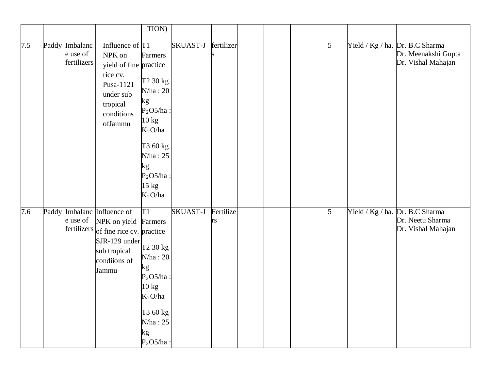|     |                                           |                                                                                                                                            | TION)                                                                                                                                                               |                 |                 |  |                 |                                                                              |
|-----|-------------------------------------------|--------------------------------------------------------------------------------------------------------------------------------------------|---------------------------------------------------------------------------------------------------------------------------------------------------------------------|-----------------|-----------------|--|-----------------|------------------------------------------------------------------------------|
| 7.5 | Paddy Imbalanc<br>e use of<br>fertilizers | Influence of $\Gamma$ 1<br>NPK on<br>yield of fine practice<br>rice cv.<br>Pusa-1121<br>under sub<br>tropical<br>conditions<br>ofJammu     | Farmers<br>T <sub>2</sub> 30 kg<br>N/ha: 20<br>kg<br>$P2O5/ha$ :<br>$10 \text{ kg}$<br>$K_2O/ha$<br>T3 60 kg<br>N/ha: 25<br>kg<br>$P2O5/ha$ :<br>15 kg<br>$K_2O/ha$ | SKUAST-J        | fertilizer      |  | $5\overline{)}$ | Yield / Kg / ha. Dr. B.C Sharma<br>Dr. Meenakshi Gupta<br>Dr. Vishal Mahajan |
| 7.6 | e use of<br>fertilizers                   | Paddy Imbalanc Influence of<br>NPK on yield Farmers<br>of fine rice cv. practice<br>SJR-129 under<br>sub tropical<br>condiions of<br>Jammu | T1<br>T <sub>2</sub> 30 kg<br>N/ha: 20<br>kg<br>$P2O5/ha$ :<br>10 kg<br>$K_2O/ha$<br>T3 60 kg<br>N/ha: 25<br>kg<br>$P2O5/ha$ :                                      | <b>SKUAST-J</b> | Fertilize<br>rs |  | 5               | Yield / Kg / ha. Dr. B.C Sharma<br>Dr. Neetu Sharma<br>Dr. Vishal Mahajan    |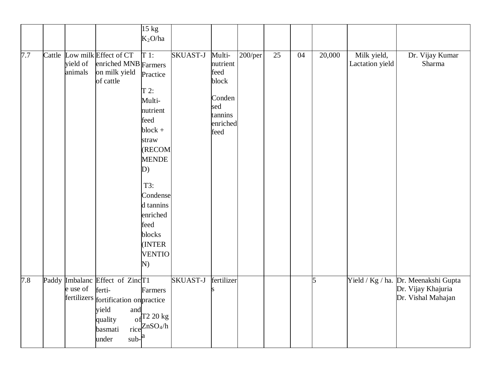|     |        |             |                                               | $\overline{15}$ kg<br>$K_2O/ha$ |                 |                    |         |                 |    |        |                                |                                      |
|-----|--------|-------------|-----------------------------------------------|---------------------------------|-----------------|--------------------|---------|-----------------|----|--------|--------------------------------|--------------------------------------|
|     |        |             |                                               |                                 |                 |                    |         |                 |    |        |                                |                                      |
| 7.7 | Cattle | yield of    | Low milk Effect of CT<br>enriched MNB Farmers | $T1$ :                          | SKUAST-J        | Multi-<br>nutrient | 200/per | $\overline{25}$ | 04 | 20,000 | Milk yield,<br>Lactation yield | Dr. Vijay Kumar<br>Sharma            |
|     |        | animals     | on milk yield<br>of cattle                    | Practice                        |                 | feed<br>block      |         |                 |    |        |                                |                                      |
|     |        |             |                                               | $T$ 2:<br>Multi-                |                 | Conden             |         |                 |    |        |                                |                                      |
|     |        |             |                                               | nutrient                        |                 | sed<br>tannins     |         |                 |    |        |                                |                                      |
|     |        |             |                                               | feed                            |                 | enriched           |         |                 |    |        |                                |                                      |
|     |        |             |                                               | $block +$<br>straw              |                 | feed               |         |                 |    |        |                                |                                      |
|     |        |             |                                               | (RECOM                          |                 |                    |         |                 |    |        |                                |                                      |
|     |        |             |                                               | <b>MENDE</b><br>D)              |                 |                    |         |                 |    |        |                                |                                      |
|     |        |             |                                               |                                 |                 |                    |         |                 |    |        |                                |                                      |
|     |        |             |                                               | T3:<br>Condense                 |                 |                    |         |                 |    |        |                                |                                      |
|     |        |             |                                               | d tannins                       |                 |                    |         |                 |    |        |                                |                                      |
|     |        |             |                                               | enriched<br>feed                |                 |                    |         |                 |    |        |                                |                                      |
|     |        |             |                                               | blocks                          |                 |                    |         |                 |    |        |                                |                                      |
|     |        |             |                                               | (INTER                          |                 |                    |         |                 |    |        |                                |                                      |
|     |        |             |                                               | <b>VENTIO</b><br>N)             |                 |                    |         |                 |    |        |                                |                                      |
| 7.8 |        |             | Paddy Imbalanc Effect of ZincT1               |                                 | <b>SKUAST-J</b> | fertilizer         |         |                 |    | 5      |                                | Yield / Kg / ha. Dr. Meenakshi Gupta |
|     |        | e use of    | ferti-                                        | Farmers                         |                 |                    |         |                 |    |        |                                | Dr. Vijay Khajuria                   |
|     |        | fertilizers | fortification on practice<br>yield            |                                 |                 |                    |         |                 |    |        |                                | Dr. Vishal Mahajan                   |
|     |        |             | and<br>quality                                | $_{\rm of}$ T2 20 kg            |                 |                    |         |                 |    |        |                                |                                      |
|     |        |             | basmati<br>$sub$ -<br>under                   | rice $ZnSO_4/h$                 |                 |                    |         |                 |    |        |                                |                                      |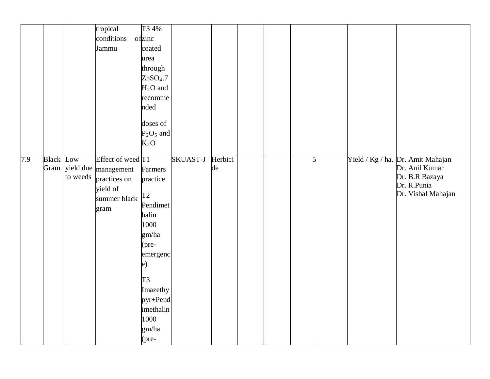|     |                  |                            | tropical<br>conditions<br>Jammu                                                     | T3 4%<br>ofzinc<br>coated<br>urea<br>through<br>ZnSO <sub>4</sub> .7<br>$H2O$ and<br>recomme<br>nded<br>doses of<br>$P_2O_5$ and<br>$K_2O$                                                        |                 |               |  |   |                                                                                                            |
|-----|------------------|----------------------------|-------------------------------------------------------------------------------------|---------------------------------------------------------------------------------------------------------------------------------------------------------------------------------------------------|-----------------|---------------|--|---|------------------------------------------------------------------------------------------------------------|
| 7.9 | <b>Black</b> Low | Gram yield due<br>to weeds | Effect of weed T1<br>management<br>practices on<br>yield of<br>summer black<br>gram | Farmers<br>practice<br>T <sub>2</sub><br>Pendimet<br>halin<br>1000<br>gm/ha<br>$(\text{pre} -$<br>emergenc<br>e)<br>T <sub>3</sub><br>Imazethy<br>pyr+Pend<br>imethalin<br>1000<br>gm/ha<br>(pre- | <b>SKUAST-J</b> | Herbici<br>de |  | 5 | Yield / Kg / ha. Dr. Amit Mahajan<br>Dr. Anil Kumar<br>Dr. B.R Bazaya<br>Dr. R.Punia<br>Dr. Vishal Mahajan |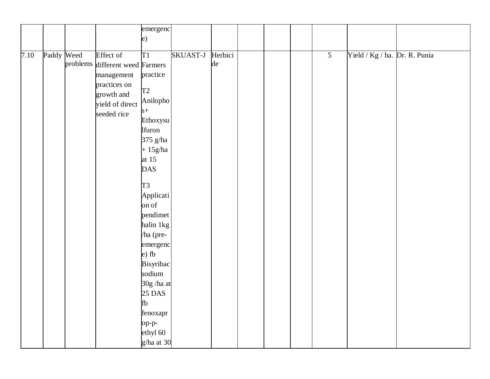|      |            |                                 | emergenc       |          |         |  |                 |                               |  |
|------|------------|---------------------------------|----------------|----------|---------|--|-----------------|-------------------------------|--|
|      |            |                                 | $\epsilon$     |          |         |  |                 |                               |  |
|      |            |                                 |                |          |         |  |                 |                               |  |
| 7.10 | Paddy Weed | Effect of                       | T1             | SKUAST-J | Herbici |  | $5\overline{)}$ | Yield / Kg / ha. Dr. R. Punia |  |
|      |            | problems different weed Farmers |                |          | de      |  |                 |                               |  |
|      |            | management                      | practice       |          |         |  |                 |                               |  |
|      |            | practices on                    |                |          |         |  |                 |                               |  |
|      |            | growth and                      | T2             |          |         |  |                 |                               |  |
|      |            | yield of direct                 | Anilopho       |          |         |  |                 |                               |  |
|      |            | seeded rice                     | $s+$           |          |         |  |                 |                               |  |
|      |            |                                 | Ethoxysu       |          |         |  |                 |                               |  |
|      |            |                                 | lfuron         |          |         |  |                 |                               |  |
|      |            |                                 | 375 g/ha       |          |         |  |                 |                               |  |
|      |            |                                 | $+15g/ha$      |          |         |  |                 |                               |  |
|      |            |                                 | at $15$        |          |         |  |                 |                               |  |
|      |            |                                 | <b>DAS</b>     |          |         |  |                 |                               |  |
|      |            |                                 |                |          |         |  |                 |                               |  |
|      |            |                                 | T <sub>3</sub> |          |         |  |                 |                               |  |
|      |            |                                 | Applicati      |          |         |  |                 |                               |  |
|      |            |                                 | on of          |          |         |  |                 |                               |  |
|      |            |                                 | pendimet       |          |         |  |                 |                               |  |
|      |            |                                 | halin 1kg      |          |         |  |                 |                               |  |
|      |            |                                 | ha (pre-       |          |         |  |                 |                               |  |
|      |            |                                 | emergenc       |          |         |  |                 |                               |  |
|      |            |                                 | $e)$ fb        |          |         |  |                 |                               |  |
|      |            |                                 | Bisyribac      |          |         |  |                 |                               |  |
|      |            |                                 | sodium         |          |         |  |                 |                               |  |
|      |            |                                 | 30g /ha at     |          |         |  |                 |                               |  |
|      |            |                                 | 25 DAS         |          |         |  |                 |                               |  |
|      |            |                                 | fb             |          |         |  |                 |                               |  |
|      |            |                                 | fenoxapr       |          |         |  |                 |                               |  |
|      |            |                                 | op-p-          |          |         |  |                 |                               |  |
|      |            |                                 | ethyl 60       |          |         |  |                 |                               |  |
|      |            |                                 | g/ha at 30     |          |         |  |                 |                               |  |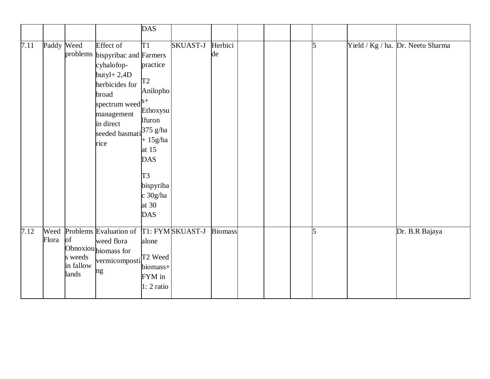|      |            |                                     |                                                                                                                                                                                                                 | <b>DAS</b>                                                                                                                                                              |                 |                |  |   |                                   |
|------|------------|-------------------------------------|-----------------------------------------------------------------------------------------------------------------------------------------------------------------------------------------------------------------|-------------------------------------------------------------------------------------------------------------------------------------------------------------------------|-----------------|----------------|--|---|-----------------------------------|
| 7.11 | Paddy Weed | problems                            | <b>Effect</b> of<br>bispyribac and Farmers<br>cyhalofop-<br>$butyl+2,4D$<br>herbicides for<br>broad<br>spectrum weed $\vert s^+ \vert$<br>management<br>in direct<br>seeded basmati <sup>375</sup> g/ha<br>rice | T1<br>practice<br>T <sub>2</sub><br>Anilopho<br>Ethoxysu<br><b>Ifuron</b><br>$+15g/ha$<br>at $15$<br><b>DAS</b><br>T3<br>bispyriba<br>c 30g/ha<br>at $30$<br><b>DAS</b> | <b>SKUAST-J</b> | Herbici<br>de  |  | 5 | Yield / Kg / ha. Dr. Neetu Sharma |
| 7.12 | Flora      | of<br>s weeds<br>in fallow<br>lands | Weed Problems Evaluation of T1: FYM SKUAST-J<br>weed flora<br>Obnoxiou biomass for<br>vermicomposti <sup>T2</sup> Weed<br>ng                                                                                    | alone<br>biomass+<br>FYM in<br>1: 2 ratio                                                                                                                               |                 | <b>Biomass</b> |  | 5 | Dr. B.R Bajaya                    |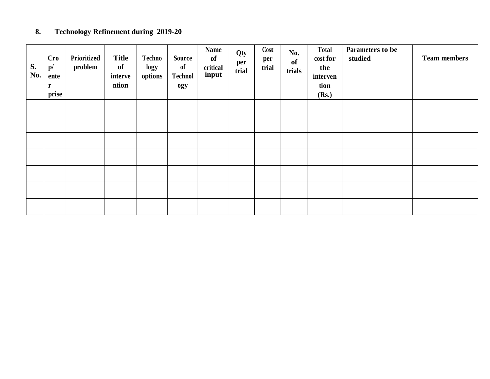#### **8. Technology Refinement during 2019 -20**

| S.<br>No. | <b>Cro</b><br>$\mathbf{p}/$<br>ente<br>$\mathbf r$<br>prise | Prioritized<br>problem | <b>Title</b><br>of<br>interve<br>ntion | Techno<br>logy<br>options | Source<br><sub>of</sub><br><b>Technol</b><br>ogy | <b>Name</b><br>of<br>critical<br>input | Qty<br>per<br>trial | Cost<br>per<br>trial | No.<br><b>of</b><br>trials | <b>Total</b><br>cost for<br>the<br>interven<br>tion<br>(Rs.) | Parameters to be<br>studied | <b>Team members</b> |
|-----------|-------------------------------------------------------------|------------------------|----------------------------------------|---------------------------|--------------------------------------------------|----------------------------------------|---------------------|----------------------|----------------------------|--------------------------------------------------------------|-----------------------------|---------------------|
|           |                                                             |                        |                                        |                           |                                                  |                                        |                     |                      |                            |                                                              |                             |                     |
|           |                                                             |                        |                                        |                           |                                                  |                                        |                     |                      |                            |                                                              |                             |                     |
|           |                                                             |                        |                                        |                           |                                                  |                                        |                     |                      |                            |                                                              |                             |                     |
|           |                                                             |                        |                                        |                           |                                                  |                                        |                     |                      |                            |                                                              |                             |                     |
|           |                                                             |                        |                                        |                           |                                                  |                                        |                     |                      |                            |                                                              |                             |                     |
|           |                                                             |                        |                                        |                           |                                                  |                                        |                     |                      |                            |                                                              |                             |                     |
|           |                                                             |                        |                                        |                           |                                                  |                                        |                     |                      |                            |                                                              |                             |                     |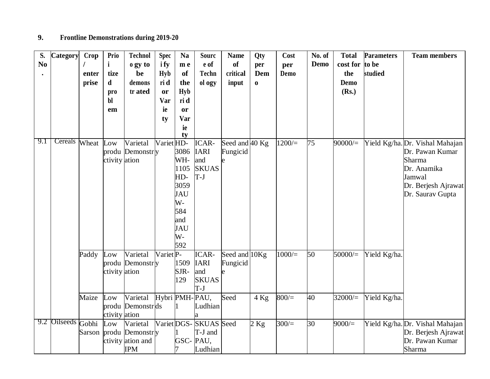## **9. Frontline Demonstrations during 2019-20**

| S.             | <b>Category</b>    | Crop   | Prio                    | <b>Technol</b>    | <b>Spec</b>           | <b>Na</b>   | <b>Sourc</b>           | <b>Name</b>    | Qty         | Cost      | No. of | <b>Total</b> | <b>Parameters</b> | <b>Team members</b>                     |
|----------------|--------------------|--------|-------------------------|-------------------|-----------------------|-------------|------------------------|----------------|-------------|-----------|--------|--------------|-------------------|-----------------------------------------|
| N <sub>0</sub> |                    |        | $\mathbf{i}$            | o gy to           | <i>i</i> fy           | m e         | e of                   | <b>of</b>      | per         | per       | Demo   | cost for     | to be             |                                         |
|                |                    | enter  | tize                    | be                | <b>Hyb</b>            | <b>of</b>   | <b>Techn</b>           | critical       | Dem         | Demo      |        | the          | studied           |                                         |
|                |                    | prise  | d                       | demons            | ri d                  | the         | ol ogy                 | input          | $\mathbf 0$ |           |        | Demo         |                   |                                         |
|                |                    |        | pro                     | tr ated           | or                    | <b>Hyb</b>  |                        |                |             |           |        | (Rs.)        |                   |                                         |
|                |                    |        | bl                      |                   | Var                   | ri d        |                        |                |             |           |        |              |                   |                                         |
|                |                    |        | em                      |                   | ie                    | or          |                        |                |             |           |        |              |                   |                                         |
|                |                    |        |                         |                   | ty                    | <b>Var</b>  |                        |                |             |           |        |              |                   |                                         |
|                |                    |        |                         |                   |                       | ie          |                        |                |             |           |        |              |                   |                                         |
|                |                    |        |                         |                   |                       | ty          |                        |                |             |           |        |              |                   |                                         |
| 9.1            | Cereals            | Wheat  | Low                     | Varietal          | Variet <sub>HD-</sub> |             | <b>ICAR-</b>           | Seed and 40 Kg |             | 1200/     | 75     | 90000/       |                   | Yield Kg/ha. Dr. Vishal Mahajan         |
|                |                    |        |                         | produ Demonstry   |                       | 3086        | <b>IARI</b>            | Fungicid       |             |           |        |              |                   | Dr. Pawan Kumar                         |
|                |                    |        | ctivity ation           |                   |                       | WH-         | and                    |                |             |           |        |              |                   | Sharma                                  |
|                |                    |        |                         |                   |                       | 1105        | <b>SKUAS</b>           |                |             |           |        |              |                   | Dr. Anamika                             |
|                |                    |        |                         |                   |                       | HD-<br>3059 | $T-J$                  |                |             |           |        |              |                   | Jamwal                                  |
|                |                    |        |                         |                   |                       | <b>JAU</b>  |                        |                |             |           |        |              |                   | Dr. Berjesh Ajrawat<br>Dr. Saurav Gupta |
|                |                    |        |                         |                   |                       | $W -$       |                        |                |             |           |        |              |                   |                                         |
|                |                    |        |                         |                   |                       | 584         |                        |                |             |           |        |              |                   |                                         |
|                |                    |        |                         |                   |                       | and         |                        |                |             |           |        |              |                   |                                         |
|                |                    |        |                         |                   |                       | <b>JAU</b>  |                        |                |             |           |        |              |                   |                                         |
|                |                    |        |                         |                   |                       | W-          |                        |                |             |           |        |              |                   |                                         |
|                |                    |        |                         |                   |                       | 592         |                        |                |             |           |        |              |                   |                                         |
|                |                    | Paddy  | Low                     | Varietal          | Variet <sub>P-</sub>  |             | <b>ICAR-</b>           | Seed and 10Kg  |             | $1000/$ = | 50     | $50000 =$    | Yield Kg/ha.      |                                         |
|                |                    |        |                         | produ Demonstry   |                       | 1509        | <b>IARI</b>            | Fungicid       |             |           |        |              |                   |                                         |
|                |                    |        | ctivity ation           |                   |                       | SJR-        | and                    |                |             |           |        |              |                   |                                         |
|                |                    |        |                         |                   |                       | 129         | <b>SKUAS</b>           |                |             |           |        |              |                   |                                         |
|                |                    |        |                         |                   |                       |             | $T-J$                  |                |             |           |        |              |                   |                                         |
|                |                    | Maize  | Low                     | Varietal          | Hybri PMH-PAU,        |             |                        | Seed           | $4$ Kg      | 800/      | 40     | $32000 =$    | Yield Kg/ha.      |                                         |
|                |                    |        |                         | produ Demonstrds  |                       |             | Ludhian                |                |             |           |        |              |                   |                                         |
|                |                    |        | ctivity ation           |                   |                       |             |                        |                |             |           |        |              |                   |                                         |
|                | 9.2 Oilseeds Gobhi |        | $_{\operatorname{Low}}$ | Varietal          |                       |             | Variet DGS- SKUAS Seed |                | $2$ Kg      | 300/      | 30     | 9000/        |                   | Yield Kg/ha. Dr. Vishal Mahajan         |
|                |                    | Sarson |                         | produ Demonstry   |                       |             | T-J and                |                |             |           |        |              |                   | Dr. Berjesh Ajrawat                     |
|                |                    |        |                         | ctivity ation and |                       | GSC-PAU,    |                        |                |             |           |        |              |                   | Dr. Pawan Kumar                         |
|                |                    |        |                         | <b>IPM</b>        |                       |             | Ludhian                |                |             |           |        |              |                   | Sharma                                  |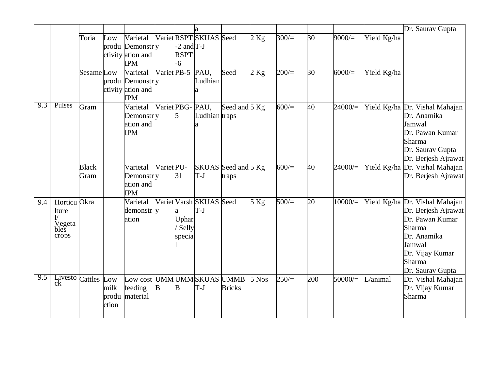|     |                           |              |       |                                 |                        |                |                         |                     |        |      |     |           |             | Dr. Saurav Gupta               |
|-----|---------------------------|--------------|-------|---------------------------------|------------------------|----------------|-------------------------|---------------------|--------|------|-----|-----------|-------------|--------------------------------|
|     |                           | Toria        | Low   | Varietal                        |                        |                | Variet RSPT SKUAS Seed  |                     | $2$ Kg | 300/ | 30  | 9000/     | Yield Kg/ha |                                |
|     |                           |              |       | produ Demonstry                 |                        | $-2$ and $T-J$ |                         |                     |        |      |     |           |             |                                |
|     |                           |              |       | ctivity ation and               |                        | <b>RSPT</b>    |                         |                     |        |      |     |           |             |                                |
|     |                           |              |       | <b>IPM</b>                      |                        | -6             |                         |                     |        |      |     |           |             |                                |
|     |                           | Sesame Low   |       | Varietal                        | Variet <sub>PB-5</sub> |                | PAU,                    | Seed                | $2$ Kg | 200/ | 30  | 6000/     | Yield Kg/ha |                                |
|     |                           |              |       | produ Demonstry                 |                        |                | Ludhian                 |                     |        |      |     |           |             |                                |
|     |                           |              |       | ctivity ation and<br><b>IPM</b> |                        |                |                         |                     |        |      |     |           |             |                                |
| 9.3 | Pulses                    | Gram         |       | Varietal                        | Variet PBG-            |                | PAU,                    | Seed and $5$ Kg     |        | 600/ | 40  | $24000 =$ |             | Yield Kg/ha Dr. Vishal Mahajan |
|     |                           |              |       | Demonstry                       |                        | 5              | Ludhian traps           |                     |        |      |     |           |             | Dr. Anamika                    |
|     |                           |              |       | ation and                       |                        |                |                         |                     |        |      |     |           |             | Jamwal                         |
|     |                           |              |       | <b>IPM</b>                      |                        |                |                         |                     |        |      |     |           |             | Dr. Pawan Kumar                |
|     |                           |              |       |                                 |                        |                |                         |                     |        |      |     |           |             | Sharma                         |
|     |                           |              |       |                                 |                        |                |                         |                     |        |      |     |           |             | Dr. Saurav Gupta               |
|     |                           |              |       |                                 |                        |                |                         |                     |        |      |     |           |             | Dr. Berjesh Ajrawat            |
|     |                           | <b>Black</b> |       | Varietal                        | Variet <sub>PU-</sub>  |                |                         | SKUAS Seed and 5 Kg |        | 600/ | 40  | $24000 =$ |             | Yield Kg/ha Dr. Vishal Mahajan |
|     |                           | Gram         |       | Demonstry                       |                        | 31             | $T-J$                   | traps               |        |      |     |           |             | Dr. Berjesh Ajrawat            |
|     |                           |              |       | ation and                       |                        |                |                         |                     |        |      |     |           |             |                                |
|     |                           |              |       | <b>IPM</b>                      |                        |                |                         |                     |        |      |     |           |             |                                |
| 9.4 | Horticu Okra              |              |       | Varietal                        |                        |                | Variet Varsh SKUAS Seed |                     | $5$ Kg | 500/ | 20  | $10000/=$ |             | Yield Kg/ha Dr. Vishal Mahajan |
|     | lture                     |              |       | demonstr y                      |                        | a              | $T-J$                   |                     |        |      |     |           |             | Dr. Berjesh Ajrawat            |
|     |                           |              |       | ation                           |                        | Uphar          |                         |                     |        |      |     |           |             | Dr. Pawan Kumar                |
|     | Vegeta<br>bles            |              |       |                                 |                        | Selly          |                         |                     |        |      |     |           |             | Sharma                         |
|     | crops                     |              |       |                                 |                        | specia         |                         |                     |        |      |     |           |             | Dr. Anamika                    |
|     |                           |              |       |                                 |                        |                |                         |                     |        |      |     |           |             | Jamwal                         |
|     |                           |              |       |                                 |                        |                |                         |                     |        |      |     |           |             | Dr. Vijay Kumar                |
|     |                           |              |       |                                 |                        |                |                         |                     |        |      |     |           |             | <b>Sharma</b>                  |
|     |                           |              |       |                                 |                        |                |                         |                     |        |      |     |           |             | Dr. Saurav Gupta               |
| 9.5 | Livesto Cattles Low<br>ck |              |       | Low cost UMMUMMSKUAS UMMB       |                        |                |                         |                     | 5 Nos  | 250/ | 200 | 50000/    | $L$ /animal | Dr. Vishal Mahajan             |
|     |                           |              | milk  | feeding                         | B                      | В              | $T-J$                   | <b>Bricks</b>       |        |      |     |           |             | Dr. Vijay Kumar                |
|     |                           |              | produ | material                        |                        |                |                         |                     |        |      |     |           |             | Sharma                         |
|     |                           |              | ction |                                 |                        |                |                         |                     |        |      |     |           |             |                                |
|     |                           |              |       |                                 |                        |                |                         |                     |        |      |     |           |             |                                |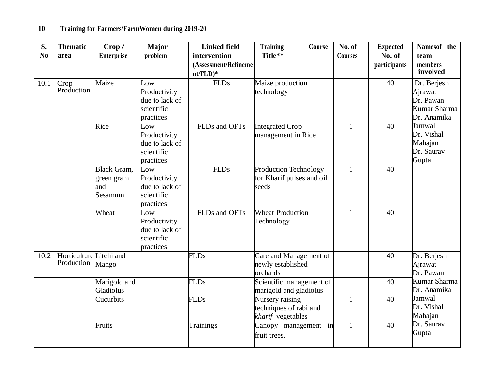## **10 Training for Farmers/FarmWomen during 2019-20**

| S.<br>N <sub>0</sub> | <b>Thematic</b><br>area               | Crop /<br><b>Enterprise</b>                        | <b>Major</b><br>problem                                          | <b>Linked field</b><br>intervention<br>(Assessment/Refineme<br>$nt/FLD)*$ | <b>Training</b><br>Course<br>Title**                           | No. of<br><b>Courses</b> | <b>Expected</b><br>No. of<br>participants | Namesof the<br>team<br>members<br>involved                         |  |
|----------------------|---------------------------------------|----------------------------------------------------|------------------------------------------------------------------|---------------------------------------------------------------------------|----------------------------------------------------------------|--------------------------|-------------------------------------------|--------------------------------------------------------------------|--|
| 10.1                 | Crop<br>Production                    | Maize                                              | Low<br>Productivity<br>due to lack of<br>scientific<br>practices | <b>FLDs</b>                                                               | Maize production<br>technology                                 | $\mathbf{1}$             | 40                                        | Dr. Berjesh<br>Ajrawat<br>Dr. Pawan<br>Kumar Sharma<br>Dr. Anamika |  |
|                      |                                       | Rice                                               | Low<br>Productivity<br>due to lack of<br>scientific<br>practices | FLDs and OFTs                                                             | <b>Integrated Crop</b><br>management in Rice                   | $\mathbf{1}$             | 40                                        | Jamwal<br>Dr. Vishal<br>Mahajan<br>Dr. Saurav<br>Gupta             |  |
|                      |                                       | <b>Black Gram,</b><br>green gram<br>and<br>Sesamum | Low<br>Productivity<br>due to lack of<br>scientific<br>practices | <b>FLDs</b>                                                               | Production Technology<br>for Kharif pulses and oil<br>seeds    | $\mathbf{1}$             | 40                                        |                                                                    |  |
|                      |                                       | Wheat                                              | Low<br>Productivity<br>due to lack of<br>scientific<br>practices | FLDs and OFTs                                                             | <b>Wheat Production</b><br>Technology                          | $\mathbf{1}$             | 40                                        |                                                                    |  |
| 10.2                 | Horticulture Litchi and<br>Production | Mango                                              |                                                                  | <b>FLDs</b>                                                               | Care and Management of<br>newly established<br>orchards        | $\mathbf{1}$             | 40                                        | Dr. Berjesh<br>Ajrawat<br>Dr. Pawan                                |  |
|                      |                                       | Marigold and<br>Gladiolus                          |                                                                  | <b>FLDs</b>                                                               | Scientific management of<br>marigold and gladiolus             | $\mathbf{1}$             | 40                                        | Kumar Sharma<br>Dr. Anamika                                        |  |
|                      |                                       | Cucurbits                                          |                                                                  | <b>FLDs</b>                                                               | Nursery raising<br>techniques of rabi and<br>kharif vegetables | $\mathbf{1}$             | 40                                        | Jamwal<br>Dr. Vishal<br>Mahajan                                    |  |
|                      |                                       | Fruits                                             |                                                                  | <b>Trainings</b>                                                          | Canopy management in<br>fruit trees.                           | $\mathbf{1}$             | 40                                        | Dr. Saurav<br>Gupta                                                |  |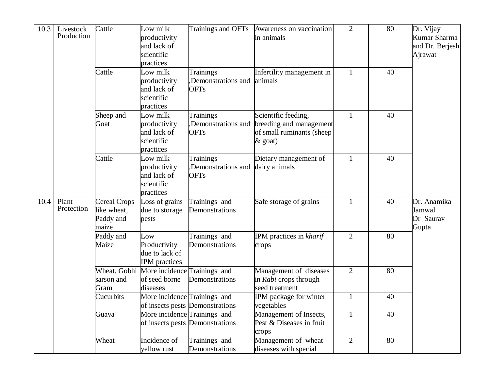| 10.3 | Livestock<br>Production | Cattle                                                   | Low milk<br>productivity<br>and lack of<br>scientific<br>practices     | Trainings and OFTs                                    | Awareness on vaccination<br>in animals                                                    | $\overline{2}$ | 80 | Dr. Vijay<br>Kumar Sharma<br>and Dr. Berjesh<br>Ajrawat |
|------|-------------------------|----------------------------------------------------------|------------------------------------------------------------------------|-------------------------------------------------------|-------------------------------------------------------------------------------------------|----------------|----|---------------------------------------------------------|
|      |                         | Cattle                                                   | Low milk<br>productivity<br>and lack of<br>scientific<br>practices     | <b>Trainings</b><br>Demonstrations and<br><b>OFTs</b> | Infertility management in<br>animals                                                      | $\mathbf{1}$   | 40 |                                                         |
|      |                         | Sheep and<br>Goat                                        | Low milk<br>productivity<br>and lack of<br>scientific<br>practices     | <b>Trainings</b><br>Demonstrations and<br><b>OFTs</b> | Scientific feeding,<br>breeding and management<br>of small ruminants (sheep<br>$\&$ goat) | $\mathbf{1}$   | 40 |                                                         |
|      |                         | Cattle                                                   | Low milk<br>productivity<br>and lack of<br>scientific<br>practices     | <b>Trainings</b><br>Demonstrations and<br><b>OFTs</b> | Dietary management of<br>dairy animals                                                    | $\mathbf{1}$   | 40 |                                                         |
| 10.4 | Plant<br>Protection     | <b>Cereal Crops</b><br>like wheat,<br>Paddy and<br>maize | Loss of grains<br>due to storage<br>pests                              | Trainings and<br>Demonstrations                       | Safe storage of grains                                                                    | $\mathbf{1}$   | 40 | Dr. Anamika<br>Jamwal<br>Dr Saurav<br>Gupta             |
|      |                         | Paddy and<br>Maize                                       | Low<br>Productivity<br>due to lack of<br><b>IPM</b> practices          | Trainings and<br>Demonstrations                       | IPM practices in kharif<br>crops                                                          | $\overline{2}$ | 80 |                                                         |
|      |                         | sarson and<br>Gram                                       | Wheat, Gobhi More incidence Trainings and<br>of seed borne<br>diseases | Demonstrations                                        | Management of diseases<br>in Rabi crops through<br>seed treatment                         | $\overline{2}$ | 80 |                                                         |
|      |                         | Cucurbits                                                | More incidence Trainings and                                           | of insects pests Demonstrations                       | IPM package for winter<br>vegetables                                                      | $\mathbf{1}$   | 40 |                                                         |
|      |                         | Guava                                                    | More incidence Trainings and                                           | of insects pests Demonstrations                       | Management of Insects,<br>Pest & Diseases in fruit<br>crops                               | $\mathbf{1}$   | 40 |                                                         |
|      |                         | Wheat                                                    | Incidence of<br>yellow rust                                            | Trainings and<br>Demonstrations                       | Management of wheat<br>diseases with special                                              | $\overline{2}$ | 80 |                                                         |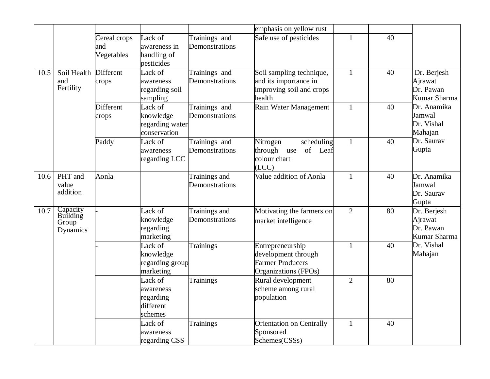|      |                                           |                                   |                                                           |                                 | emphasis on yellow rust                                                                    |                |    |                                                     |
|------|-------------------------------------------|-----------------------------------|-----------------------------------------------------------|---------------------------------|--------------------------------------------------------------------------------------------|----------------|----|-----------------------------------------------------|
|      |                                           | Cereal crops<br>and<br>Vegetables | Lack of<br>awareness in<br>handling of<br>pesticides      | Trainings and<br>Demonstrations | Safe use of pesticides                                                                     | 1              | 40 |                                                     |
| 10.5 | Soil Health<br>and<br>Fertility           | Different<br>crops                | Lack of<br>awareness<br>regarding soil<br>sampling        | Trainings and<br>Demonstrations | Soil sampling technique,<br>and its importance in<br>improving soil and crops<br>health    | $\mathbf{1}$   | 40 | Dr. Berjesh<br>Ajrawat<br>Dr. Pawan<br>Kumar Sharma |
|      |                                           | <b>Different</b><br>crops         | Lack of<br>knowledge<br>regarding water<br>conservation   | Trainings and<br>Demonstrations | Rain Water Management                                                                      | $\mathbf{1}$   | 40 | Dr. Anamika<br>Jamwal<br>Dr. Vishal<br>Mahajan      |
|      |                                           | Paddy                             | Lack of<br>awareness<br>regarding LCC                     | Trainings and<br>Demonstrations | scheduling<br>Nitrogen<br>of Leaf<br>through use<br>colour chart<br>(ICC)                  | $\mathbf{1}$   | 40 | Dr. Saurav<br>Gupta                                 |
| 10.6 | PHT and<br>value<br>addition              | Aonla                             |                                                           | Trainings and<br>Demonstrations | Value addition of Aonla                                                                    | $\mathbf{1}$   | 40 | Dr. Anamika<br>Jamwal<br>Dr. Saurav<br>Gupta        |
| 10.7 | Capacity<br>Building<br>Group<br>Dynamics |                                   | Lack of<br>knowledge<br>regarding<br>marketing            | Trainings and<br>Demonstrations | Motivating the farmers on<br>market intelligence                                           | $\overline{2}$ | 80 | Dr. Berjesh<br>Ajrawat<br>Dr. Pawan<br>Kumar Sharma |
|      |                                           |                                   | Lack of<br>knowledge<br>regarding group<br>marketing      | <b>Trainings</b>                | Entrepreneurship<br>development through<br><b>Farmer Producers</b><br>Organizations (FPOs) | $\mathbf{1}$   | 40 | Dr. Vishal<br>Mahajan                               |
|      |                                           |                                   | Lack of<br>awareness<br>regarding<br>different<br>schemes | <b>Trainings</b>                | Rural development<br>scheme among rural<br>population                                      | $\overline{2}$ | 80 |                                                     |
|      |                                           |                                   | Lack of<br>awareness<br>regarding CSS                     | <b>Trainings</b>                | <b>Orientation on Centrally</b><br>Sponsored<br>Schemes(CSSs)                              | $\mathbf{1}$   | 40 |                                                     |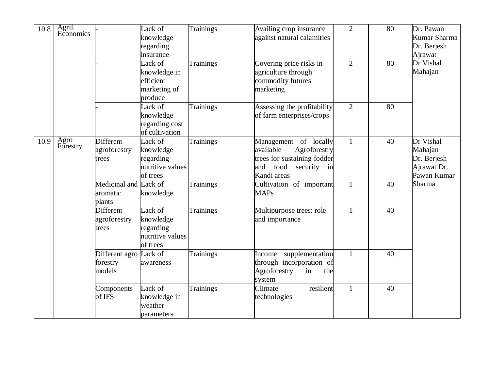| 10.8 | Agril.<br>Economics |                                             | Lack of<br>knowledge<br>regarding<br>insurance<br>Lack of<br>knowledge in<br>efficient<br>marketing of<br>produce | Trainings<br>Trainings | Availing crop insurance<br>against natural calamities<br>Covering price risks in<br>agriculture through<br>commodity futures<br>marketing | $\overline{2}$<br>$\overline{2}$ | 80<br>80 | Dr. Pawan<br>Kumar Sharma<br>Dr. Berjesh<br>Ajrawat<br>Dr Vishal<br>Mahajan |
|------|---------------------|---------------------------------------------|-------------------------------------------------------------------------------------------------------------------|------------------------|-------------------------------------------------------------------------------------------------------------------------------------------|----------------------------------|----------|-----------------------------------------------------------------------------|
|      |                     |                                             | Lack of<br>knowledge<br>regarding cost<br>of cultivation                                                          | <b>Trainings</b>       | Assessing the profitability<br>of farm enterprises/crops                                                                                  | $\overline{2}$                   | 80       |                                                                             |
| 10.9 | Agro<br>Forestry    | <b>Different</b><br>agroforestry<br>trees   | Lack of<br>knowledge<br>regarding<br>nutritive values<br>of trees                                                 | Trainings              | Management of locally<br>Agroforestry<br>available<br>trees for sustaining fodder<br>and<br>food<br>security<br>in<br>Kandi areas         | $\mathbf{1}$                     | 40       | Dr Vishal<br>Mahajan<br>Dr. Berjesh<br>Ajrawat Dr.<br>Pawan Kumar           |
|      |                     | Medicinal and Lack of<br>aromatic<br>plants | knowledge                                                                                                         | Trainings              | Cultivation of important<br><b>MAPs</b>                                                                                                   | $\mathbf{1}$                     | 40       | Sharma                                                                      |
|      |                     | Different<br>agroforestry<br>trees          | Lack of<br>knowledge<br>regarding<br>nutritive values<br>of trees                                                 | Trainings              | Multipurpose trees: role<br>and importance                                                                                                | $\mathbf{1}$                     | 40       |                                                                             |
|      |                     | Different agro<br>forestry<br>models        | Lack of<br>awareness                                                                                              | <b>Trainings</b>       | supplementation<br>Income<br>through incorporation of<br>Agroforestry<br>in<br>the<br>system                                              | $\mathbf{1}$                     | 40       |                                                                             |
|      |                     | Components<br>of IFS                        | Lack of<br>knowledge in<br>weather<br>parameters                                                                  | Trainings              | Climate<br>resilient<br>technologies                                                                                                      | $\mathbf{1}$                     | 40       |                                                                             |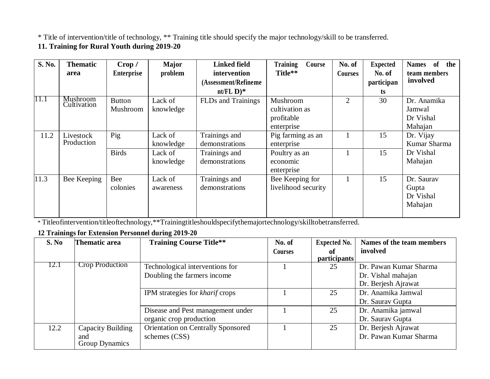\* Title of intervention/title of technology, \*\* Training title should specify the major technology/skill to be transferred.

#### **11. Training for Rural Youth during 2019-20**

| S. No. | <b>Thematic</b><br>area | Crop /<br><b>Enterprise</b> | <b>Major</b><br>problem | <b>Linked field</b><br>intervention                      | <b>Training</b><br>Course<br>Title** | No. of<br><b>Courses</b> | <b>Expected</b><br>No. of | of<br>the<br><b>Names</b><br>team members |
|--------|-------------------------|-----------------------------|-------------------------|----------------------------------------------------------|--------------------------------------|--------------------------|---------------------------|-------------------------------------------|
|        |                         |                             |                         | (Assessment/Refineme)<br>nt/FL $\mathbf{D}$ <sup>*</sup> |                                      |                          | participan                | involved                                  |
| 11.1   | Mushroom                |                             |                         |                                                          |                                      |                          | ts.                       |                                           |
|        | Cultivation             | <b>Button</b>               | Lack of                 | FLDs and Trainings                                       | Mushroom                             | $\overline{2}$           | 30                        | Dr. Anamika                               |
|        |                         | Mushroom                    | knowledge               |                                                          | cultivation as                       |                          |                           | Jamwal                                    |
|        |                         |                             |                         |                                                          | profitable                           |                          |                           | Dr Vishal                                 |
|        |                         |                             |                         |                                                          | enterprise                           |                          |                           | Mahajan                                   |
| 11.2   | Livestock               | Pig                         | Lack of                 | Trainings and                                            | Pig farming as an                    |                          | 15                        | Dr. Vijay                                 |
|        | Production              |                             | knowledge               | demonstrations                                           | enterprise                           |                          |                           | Kumar Sharma                              |
|        |                         | <b>Birds</b>                | Lack of                 | Trainings and                                            | Poultry as an                        |                          | 15                        | Dr Vishal                                 |
|        |                         |                             | knowledge               | demonstrations                                           | economic                             |                          |                           | Mahajan                                   |
|        |                         |                             |                         |                                                          | enterprise                           |                          |                           |                                           |
| 11.3   | Bee Keeping             | Bee                         | Lack of                 | Trainings and                                            | Bee Keeping for                      |                          | 15                        | Dr. Saurav                                |
|        |                         | colonies                    | awareness               | demonstrations                                           | livelihood security                  |                          |                           | Gupta                                     |
|        |                         |                             |                         |                                                          |                                      |                          |                           | Dr Vishal                                 |
|        |                         |                             |                         |                                                          |                                      |                          |                           | Mahajan                                   |
|        |                         |                             |                         |                                                          |                                      |                          |                           |                                           |

\* Titleofintervention/titleoftechnology,\*\*Trainingtitleshouldspecifythemajortechnology/skilltobetransferred.

#### **12 Trainings for Extension Personnel during 2019-20**

| S. No | <b>Thematic area</b>   | <b>Training Course Title**</b>            | No. of  | <b>Expected No.</b> | Names of the team members |
|-------|------------------------|-------------------------------------------|---------|---------------------|---------------------------|
|       |                        |                                           | Courses | of                  | involved                  |
|       |                        |                                           |         | participants        |                           |
| 12.1  | <b>Crop Production</b> | Technological interventions for           |         | 25                  | Dr. Pawan Kumar Sharma    |
|       |                        | Doubling the farmers income               |         |                     | Dr. Vishal mahajan        |
|       |                        |                                           |         |                     | Dr. Berjesh Ajrawat       |
|       |                        | IPM strategies for <i>kharif</i> crops    |         | 25                  | Dr. Anamika Jamwal        |
|       |                        |                                           |         |                     | Dr. Saurav Gupta          |
|       |                        | Disease and Pest management under         |         | 25                  | Dr. Anamika jamwal        |
|       |                        | organic crop production                   |         |                     | Dr. Saurav Gupta          |
| 12.2  | Capacity Building      | <b>Orientation on Centrally Sponsored</b> |         | 25                  | Dr. Berjesh Ajrawat       |
|       | and                    | schemes (CSS)                             |         |                     | Dr. Pawan Kumar Sharma    |
|       | Group Dynamics         |                                           |         |                     |                           |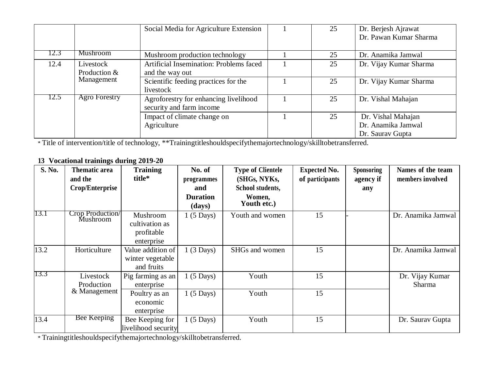|      |                      | Social Media for Agriculture Extension  | 25 | Dr. Berjesh Ajrawat    |
|------|----------------------|-----------------------------------------|----|------------------------|
|      |                      |                                         |    | Dr. Pawan Kumar Sharma |
|      |                      |                                         |    |                        |
| 12.3 | Mushroom             | Mushroom production technology          | 25 | Dr. Anamika Jamwal     |
| 12.4 | Livestock            | Artificial Insemination: Problems faced | 25 | Dr. Vijay Kumar Sharma |
|      | Production &         | and the way out                         |    |                        |
|      | Management           | Scientific feeding practices for the    | 25 | Dr. Vijay Kumar Sharma |
|      |                      | livestock                               |    |                        |
| 12.5 | <b>Agro Forestry</b> | Agroforestry for enhancing livelihood   | 25 | Dr. Vishal Mahajan     |
|      |                      | security and farm income                |    |                        |
|      |                      | Impact of climate change on             | 25 | Dr. Vishal Mahajan     |
|      |                      | Agriculture                             |    | Dr. Anamika Jamwal     |
|      |                      |                                         |    | Dr. Saurav Gupta       |

\* Title of intervention/title of technology, \*\*Trainingtitleshouldspecifythemajortechnology/skilltobetransferred.

#### **13 Vocational trainings during 2019-20**

| S. No. | <b>Thematic area</b><br>and the<br>Crop/Enterprise | <b>Training</b><br>title*                              | No. of<br>programmes<br>and | <b>Type of Clientele</b><br>(SHGs, NYKs,<br>School students, | <b>Expected No.</b><br>of participants | <b>Sponsoring</b><br>agency if<br>any | Names of the team<br>members involved |
|--------|----------------------------------------------------|--------------------------------------------------------|-----------------------------|--------------------------------------------------------------|----------------------------------------|---------------------------------------|---------------------------------------|
|        |                                                    |                                                        | <b>Duration</b><br>(days)   | Women,<br>Youth etc.)                                        |                                        |                                       |                                       |
| 13.1   | Crop Production/<br>Mushroom                       | Mushroom<br>cultivation as<br>profitable<br>enterprise | $1(5 \text{ Days})$         | Youth and women                                              | 15                                     |                                       | Dr. Anamika Jamwal                    |
| 13.2   | Horticulture                                       | Value addition of<br>winter vegetable<br>and fruits    | $1(3 \text{ Days})$         | SHGs and women                                               | 15                                     |                                       | Dr. Anamika Jamwal                    |
| 13.3   | Livestock<br>Production                            | Pig farming as an<br>enterprise                        | $1(5 \text{ Days})$         | Youth                                                        | 15                                     |                                       | Dr. Vijay Kumar<br>Sharma             |
|        | & Management                                       | Poultry as an<br>economic<br>enterprise                | $1(5 \text{ Days})$         | Youth                                                        | 15                                     |                                       |                                       |
| 13.4   | <b>Bee Keeping</b>                                 | Bee Keeping for<br>livelihood security                 | $1(5 \text{ Days})$         | Youth                                                        | 15                                     |                                       | Dr. Saurav Gupta                      |

\* Trainingtitleshouldspecifythemajortechnology/skilltobetransferred.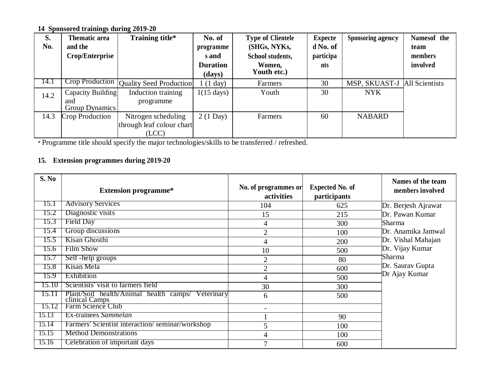**14 Sponsored trainings during 2019-20**

| S.   | <b>Thematic area</b> | Training title*           | No. of               | <b>Type of Clientele</b> | <b>Expecte</b> | <b>Sponsoring agency</b> | Namesof the    |
|------|----------------------|---------------------------|----------------------|--------------------------|----------------|--------------------------|----------------|
| No.  | and the              |                           | programme            | (SHGs, NYKs,             | d No. of       |                          | team           |
|      | Crop/Enterprise      |                           | s and                | School students,         | participa      |                          | members        |
|      |                      |                           | <b>Duration</b>      | Women,<br>Youth etc.)    | nts            |                          | involved       |
|      |                      |                           | (days)               |                          |                |                          |                |
| 14.1 | Crop Production      | Quality Seed Production   | $(1 \text{ day})$    | Farmers                  | 30             | MSP, SKUAST-J            | All Scientists |
| 14.2 | Capacity Building    | Induction training        | $1(15 \text{ days})$ | Youth                    | 30             | <b>NYK</b>               |                |
|      | and                  | programme                 |                      |                          |                |                          |                |
|      | Group Dynamics       |                           |                      |                          |                |                          |                |
| 14.3 | Crop Production      | Nitrogen scheduling       | $2(1 \text{ Day})$   | Farmers                  | 60             | <b>NABARD</b>            |                |
|      |                      | through leaf colour chart |                      |                          |                |                          |                |
|      |                      | (ICC)                     |                      |                          |                |                          |                |

\* Programme title should specify the major technologies/skills to be transferred / refreshed.

## **15. Extension programmes during 2019-20**

| S. No | <b>Extension programme*</b>                                            | No. of programmes or<br>activities | <b>Expected No. of</b><br>participants | Names of the team<br>members involved |
|-------|------------------------------------------------------------------------|------------------------------------|----------------------------------------|---------------------------------------|
| 15.1  | <b>Advisory Services</b>                                               | 104                                | 625                                    | Dr. Berjesh Ajrawat                   |
| 15.2  | Diagnostic visits                                                      | 15                                 | 215                                    | Dr. Pawan Kumar                       |
| 15.3  | Field Day                                                              | 4                                  | 300                                    | Sharma                                |
| 15.4  | Group discussions                                                      | $\overline{2}$                     | 100                                    | Dr. Anamika Jamwal                    |
| 15.5  | Kisan Ghosthi                                                          | 4                                  | 200                                    | Dr. Vishal Mahajan                    |
| 15.6  | <b>Film Show</b>                                                       | 10                                 | 500                                    | Dr. Vijay Kumar                       |
| 15.7  | Self-help groups                                                       | $\overline{2}$                     | 80                                     | Sharma                                |
| 15.8  | Kisan Mela                                                             | $\overline{2}$                     | 600                                    | Dr. Saurav Gupta                      |
| 15.9  | Exhibition                                                             | 4                                  | 500                                    | Dr Ajay Kumar                         |
| 15.10 | Scientists' visit to farmers field                                     | 30                                 | 300                                    |                                       |
| 15.11 | Plant/Soil health/Animal health camps/<br>Veterinary<br>clinical Camps | 6                                  | 500                                    |                                       |
| 15.12 | Farm Science Club                                                      |                                    |                                        |                                       |
| 15.13 | Ex-trainees Sammelan                                                   |                                    | 90                                     |                                       |
| 15.14 | Farmers' Scientist interaction/seminar/workshop                        | 5                                  | 100                                    |                                       |
| 15.15 | <b>Method Demonstrations</b>                                           | 4                                  | 100                                    |                                       |
| 15.16 | Celebration of important days                                          | $\tau$                             | 600                                    |                                       |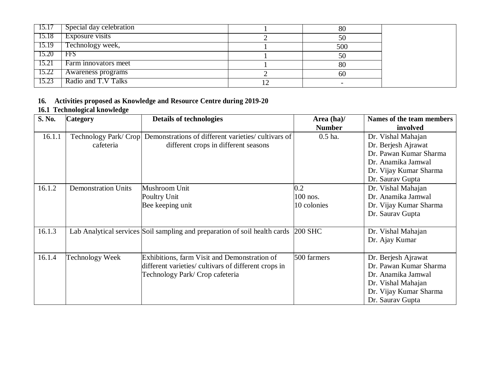| 13.11 | Special day celebration | 80                       |  |
|-------|-------------------------|--------------------------|--|
| 15.18 | Exposure visits         | 50                       |  |
| 15.19 | Technology week,        | 500                      |  |
| 15.20 | <b>FFS</b>              | 50                       |  |
| 15.21 | Farm innovators meet    | 80                       |  |
| 15.22 | Awareness programs      | 60                       |  |
| 15.23 | Radio and T.V Talks     | $\overline{\phantom{0}}$ |  |

#### **16. Activities proposed as Knowledge and Resource Centre during 2019-20**

#### **16.1 Technological knowledge**

| S. No. | <b>Category</b>            | <b>Details of technologies</b>                                             | Area $(ha)$ / | Names of the team members |
|--------|----------------------------|----------------------------------------------------------------------------|---------------|---------------------------|
|        |                            |                                                                            | <b>Number</b> | involved                  |
| 16.1.1 | Technology Park/Crop       | Demonstrations of different varieties/cultivars of                         | $0.5$ ha.     | Dr. Vishal Mahajan        |
|        | cafeteria                  | different crops in different seasons                                       |               | Dr. Berjesh Ajrawat       |
|        |                            |                                                                            |               | Dr. Pawan Kumar Sharma    |
|        |                            |                                                                            |               | Dr. Anamika Jamwal        |
|        |                            |                                                                            |               | Dr. Vijay Kumar Sharma    |
|        |                            |                                                                            |               | Dr. Saurav Gupta          |
| 16.1.2 | <b>Demonstration Units</b> | Mushroom Unit                                                              | 0.2           | Dr. Vishal Mahajan        |
|        |                            | Poultry Unit                                                               | 100 nos.      | Dr. Anamika Jamwal        |
|        |                            | Bee keeping unit                                                           | 10 colonies   | Dr. Vijay Kumar Sharma    |
|        |                            |                                                                            |               | Dr. Saurav Gupta          |
|        |                            |                                                                            |               |                           |
| 16.1.3 |                            | Lab Analytical services Soil sampling and preparation of soil health cards | 200 SHC       | Dr. Vishal Mahajan        |
|        |                            |                                                                            |               | Dr. Ajay Kumar            |
|        |                            |                                                                            |               |                           |
| 16.1.4 | Technology Week            | Exhibitions, farm Visit and Demonstration of                               | 500 farmers   | Dr. Berjesh Ajrawat       |
|        |                            | different varieties/ cultivars of different crops in                       |               | Dr. Pawan Kumar Sharma    |
|        |                            | Technology Park/ Crop cafeteria                                            |               | Dr. Anamika Jamwal        |
|        |                            |                                                                            |               | Dr. Vishal Mahajan        |
|        |                            |                                                                            |               | Dr. Vijay Kumar Sharma    |
|        |                            |                                                                            |               | Dr. Saurav Gupta          |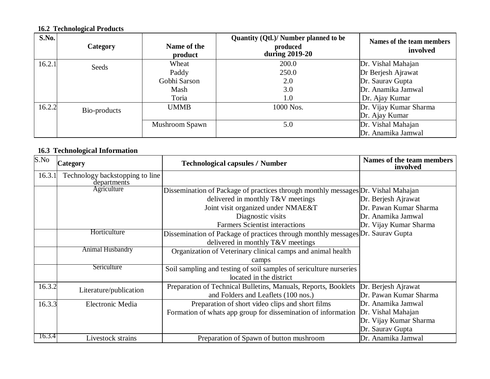## **16.2 Technological Products**

| S.No.  | Category     | Name of the<br>product | Quantity (Qtl.)/ Number planned to be<br>produced<br>during 2019-20 | Names of the team members<br>involved |
|--------|--------------|------------------------|---------------------------------------------------------------------|---------------------------------------|
| 16.2.1 | Seeds        | Wheat                  | 200.0                                                               | Dr. Vishal Mahajan                    |
|        |              | Paddy                  | 250.0                                                               | Dr Berjesh Ajrawat                    |
|        |              | Gobhi Sarson           | 2.0                                                                 | Dr. Saurav Gupta                      |
|        |              | Mash                   | 3.0                                                                 | Dr. Anamika Jamwal                    |
|        |              | Toria                  | 1.0                                                                 | Dr. Ajay Kumar                        |
| 16.2.2 | Bio-products | <b>UMMB</b>            | 1000 Nos.                                                           | Dr. Vijay Kumar Sharma                |
|        |              |                        |                                                                     | Dr. Ajay Kumar                        |
|        |              | Mushroom Spawn         | 5.0                                                                 | Dr. Vishal Mahajan                    |
|        |              |                        |                                                                     | Dr. Anamika Jamwal                    |

#### **16.3 Technological Information**

| S.No   | <b>Category</b>                                | <b>Technological capsules / Number</b>                                            |                        |
|--------|------------------------------------------------|-----------------------------------------------------------------------------------|------------------------|
| 16.3.1 | Technology backstopping to line<br>departments |                                                                                   |                        |
|        | Agriculture                                    | Dissemination of Package of practices through monthly messages Dr. Vishal Mahajan |                        |
|        |                                                | delivered in monthly T&V meetings                                                 | Dr. Berjesh Ajrawat    |
|        |                                                | Joint visit organized under NMAE&T                                                | Dr. Pawan Kumar Sharma |
|        |                                                | Diagnostic visits                                                                 | Dr. Anamika Jamwal     |
|        |                                                | <b>Farmers Scientist interactions</b>                                             | Dr. Vijay Kumar Sharma |
|        | Horticulture                                   | Dissemination of Package of practices through monthly messages Dr. Saurav Gupta   |                        |
|        |                                                | delivered in monthly T&V meetings                                                 |                        |
|        | <b>Animal Husbandry</b>                        | Organization of Veterinary clinical camps and animal health                       |                        |
|        |                                                | camps                                                                             |                        |
|        | Sericulture                                    | Soil sampling and testing of soil samples of sericulture nurseries                |                        |
|        |                                                | located in the district                                                           |                        |
| 16.3.2 | Literature/publication                         | Preparation of Technical Bulletins, Manuals, Reports, Booklets                    | Dr. Berjesh Ajrawat    |
|        |                                                | and Folders and Leaflets (100 nos.)                                               | Dr. Pawan Kumar Sharma |
| 16.3.3 | Electronic Media                               | Preparation of short video clips and short films                                  | Dr. Anamika Jamwal     |
|        |                                                | Formation of whats app group for dissemination of information                     | Dr. Vishal Mahajan     |
|        |                                                |                                                                                   | Dr. Vijay Kumar Sharma |
|        |                                                |                                                                                   | Dr. Saurav Gupta       |
| 16.3.4 | Livestock strains                              | Preparation of Spawn of button mushroom                                           | Dr. Anamika Jamwal     |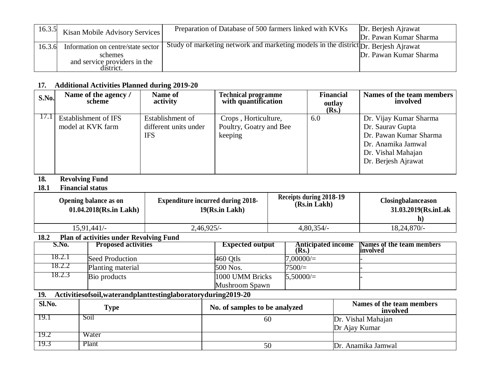| 16.3.5 | Kisan Mobile Advisory Services     | Preparation of Database of 500 farmers linked with KVKs                             | Dr. Berjesh Ajrawat    |
|--------|------------------------------------|-------------------------------------------------------------------------------------|------------------------|
|        |                                    |                                                                                     | Dr. Pawan Kumar Sharma |
| 16.3.6 | Information on centre/state sector | Study of marketing network and marketing models in the district Dr. Berjesh Ajrawat |                        |
|        | schemes                            |                                                                                     | Dr. Pawan Kumar Sharma |
|        | and service providers in the       |                                                                                     |                        |
|        | district.                          |                                                                                     |                        |

#### **17. Additional Activities Planned during 2019-20**

| S.No. | Name of the agency /<br>scheme | Name of<br>activity   | <b>Technical programme</b><br>with quantification | <b>Financial</b><br>outlay<br>(Rs.) | Names of the team members<br>involved |
|-------|--------------------------------|-----------------------|---------------------------------------------------|-------------------------------------|---------------------------------------|
| 1/1   | Establishment of IFS           | Establishment of      | Crops, Horticulture,                              | 6.0                                 | Dr. Vijay Kumar Sharma                |
|       | model at KVK farm              | different units under | Poultry, Goatry and Bee                           |                                     | Dr. Saurav Gupta                      |
|       |                                | <b>IFS</b>            | keeping                                           |                                     | Dr. Pawan Kumar Sharma                |
|       |                                |                       |                                                   |                                     | Dr. Anamika Jamwal                    |
|       |                                |                       |                                                   |                                     | Dr. Vishal Mahajan                    |
|       |                                |                       |                                                   |                                     | Dr. Berjesh Ajrawat                   |
|       |                                |                       |                                                   |                                     |                                       |

# **18. Revolving Fund**

#### **18.1 Financial status**

| Opening balance as on<br>$01.04.2018$ (Rs.in Lakh) | <b>Expenditure incurred during 2018-</b><br>19(Rs.in Lakh) | Receipts during 2018-19<br>(Rs.in Lakh) | <b>Closingbalanceason</b><br>31.03.2019(Rs.inLak<br>h) |
|----------------------------------------------------|------------------------------------------------------------|-----------------------------------------|--------------------------------------------------------|
| 15,91,441/-                                        | 2,46,925/-                                                 | $4,80,354/-$                            | $18,24,870/-$                                          |

#### **18.2 Plan of activities under Revolving Fund**

| S.No.  | <b>Proposed activities</b> | <b>Expected output</b> | <b>Anticipated income</b><br>(Rs. | Names of the team members<br>involved |
|--------|----------------------------|------------------------|-----------------------------------|---------------------------------------|
| 18.2.1 | Seed Production            | $460$ Otls             | 00000/                            |                                       |
| 18.2.2 | Planting material          | 500 Nos.               | 7500/                             |                                       |
| 18.2.3 | Bio products               | 1000 UMM Bricks        | $5.50000 =$                       |                                       |
|        |                            | Mushroom Spawn         |                                   |                                       |

## **19. Activitiesofsoil,waterandplanttestinglaboratoryduring2019-20**

| Sl.No. | Type  | No. of samples to be analyzed | Names of the team members<br>involved |
|--------|-------|-------------------------------|---------------------------------------|
|        | S01l  | 60                            | Dr. Vishal Mahajan                    |
|        |       |                               | Dr Ajay Kumar                         |
|        | Water |                               |                                       |
|        | Plant |                               | Dr. Anamika Jamwal                    |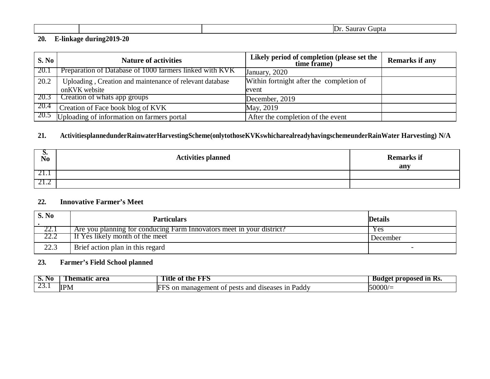|  | $D_1$<br>. .<br>JLG |
|--|---------------------|
|  |                     |

#### **20. E-linkage during2019-20**

| S. No  | <b>Nature of activities</b>                              | Likely period of completion (please set the<br>time frame) | <b>Remarks if any</b> |
|--------|----------------------------------------------------------|------------------------------------------------------------|-----------------------|
| - 20.1 | Preparation of Database of 1000 farmers linked with KVK  | January, 2020                                              |                       |
| 20.2   | Uploading, Creation and maintenance of relevant database | Within fortnight after the completion of                   |                       |
|        | on KVK website                                           | event                                                      |                       |
| 20.3   | Creation of whats app groups                             | December, 2019                                             |                       |
| 20.4   | Creation of Face book blog of KVK                        | May, 2019                                                  |                       |
|        | 20.5 Uploading of information on farmers portal          | After the completion of the event                          |                       |

#### **21. ActivitiesplannedunderRainwaterHarvestingScheme(onlytothoseKVKswhicharealreadyhavingschemeunderRainWater Harvesting) N/A**

| $\sum_{N=0}^{\infty}$ | <b>Activities planned</b> | <b>Remarks if</b><br>any |
|-----------------------|---------------------------|--------------------------|
| 21.1                  |                           |                          |
| 4.4                   |                           |                          |

#### **22. Innovative Farmer's Meet**

| <b>S. No</b> | <b>Particulars</b>                                                    | <b>Details</b> |
|--------------|-----------------------------------------------------------------------|----------------|
| 22. l        | Are you planning for conducing Farm Innovators meet in your district? | <b>Yes</b>     |
| 22.Z         | If Yes likely month of the meet                                       | December       |
| 22.3         | Brief action plan in this regard                                      |                |

#### **23. Farmer's Field School planned**

| N <sub>0</sub><br>ນ. | area<br>. ne | FFS<br>the<br>$\mathbf{O}$<br>ние                                               | ın<br>-proposed<br>- י<br>. GAT<br>RS. |
|----------------------|--------------|---------------------------------------------------------------------------------|----------------------------------------|
| $\sim$               | <b>IPM</b>   | and<br>1n<br>Paddy<br>$\ldots$ managem<br>pests<br>diseases<br>-on<br>umer<br>m | .0000/                                 |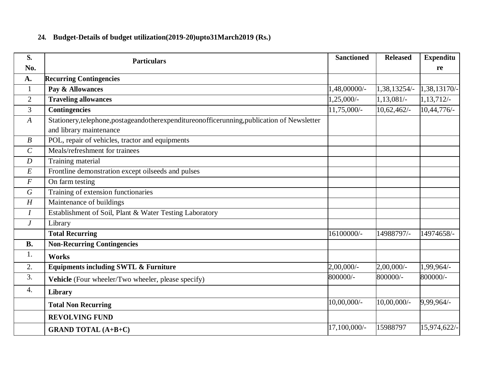## **24. Budget-Details of budget utilization(2019-20)upto31March2019 (Rs.)**

| S.               | <b>Particulars</b>                                                                          | <b>Sanctioned</b>       | <b>Released</b> | <b>Expenditu</b> |
|------------------|---------------------------------------------------------------------------------------------|-------------------------|-----------------|------------------|
| No.              |                                                                                             |                         |                 | re               |
| A.               | <b>Recurring Contingencies</b>                                                              |                         |                 |                  |
| 1                | Pay & Allowances                                                                            | 1,48,00000/-            | 1,38,13254/-    | 1,38,13170/-     |
| 2                | <b>Traveling allowances</b>                                                                 | $1,25,000/-$            | $1,13,081/-$    | 1,13,712/-       |
| 3                | Contingencies                                                                               | 11,75,000/-             | 10,62,462/      | 10,44,776/-      |
| $\boldsymbol{A}$ | Stationery, telephone, postageandotherexpenditureonofficerunning, publication of Newsletter |                         |                 |                  |
|                  | and library maintenance                                                                     |                         |                 |                  |
| $\boldsymbol{B}$ | POL, repair of vehicles, tractor and equipments                                             |                         |                 |                  |
| $\mathcal{C}$    | Meals/refreshment for trainees                                                              |                         |                 |                  |
| $\boldsymbol{D}$ | Training material                                                                           |                         |                 |                  |
| $E\,$            | Frontline demonstration except oilseeds and pulses                                          |                         |                 |                  |
| $\boldsymbol{F}$ | On farm testing                                                                             |                         |                 |                  |
| $\boldsymbol{G}$ | Training of extension functionaries                                                         |                         |                 |                  |
| H                | Maintenance of buildings                                                                    |                         |                 |                  |
| $\overline{I}$   | Establishment of Soil, Plant & Water Testing Laboratory                                     |                         |                 |                  |
| $\,$ J           | Library                                                                                     |                         |                 |                  |
|                  | <b>Total Recurring</b>                                                                      | 16100000/-              | 14988797/-      | 14974658/-       |
| <b>B.</b>        | <b>Non-Recurring Contingencies</b>                                                          |                         |                 |                  |
| 1.               | <b>Works</b>                                                                                |                         |                 |                  |
| 2.               | <b>Equipments including SWTL &amp; Furniture</b>                                            | $2,00,\overline{000/-}$ | $2,00,000/$ -   | $1,99,964/-$     |
| 3.               | Vehicle (Four wheeler/Two wheeler, please specify)                                          | 800000/-                | 800000/-        | 800000/-         |
| $\overline{4}$ . | Library                                                                                     |                         |                 |                  |
|                  | <b>Total Non Recurring</b>                                                                  | 10,00,000/-             | $10,00,000/$ -  | 9,99,964/-       |
|                  | <b>REVOLVING FUND</b>                                                                       |                         |                 |                  |
|                  | <b>GRAND TOTAL (A+B+C)</b>                                                                  | 17,100,000/-            | 15988797        | 15,974,622/-     |